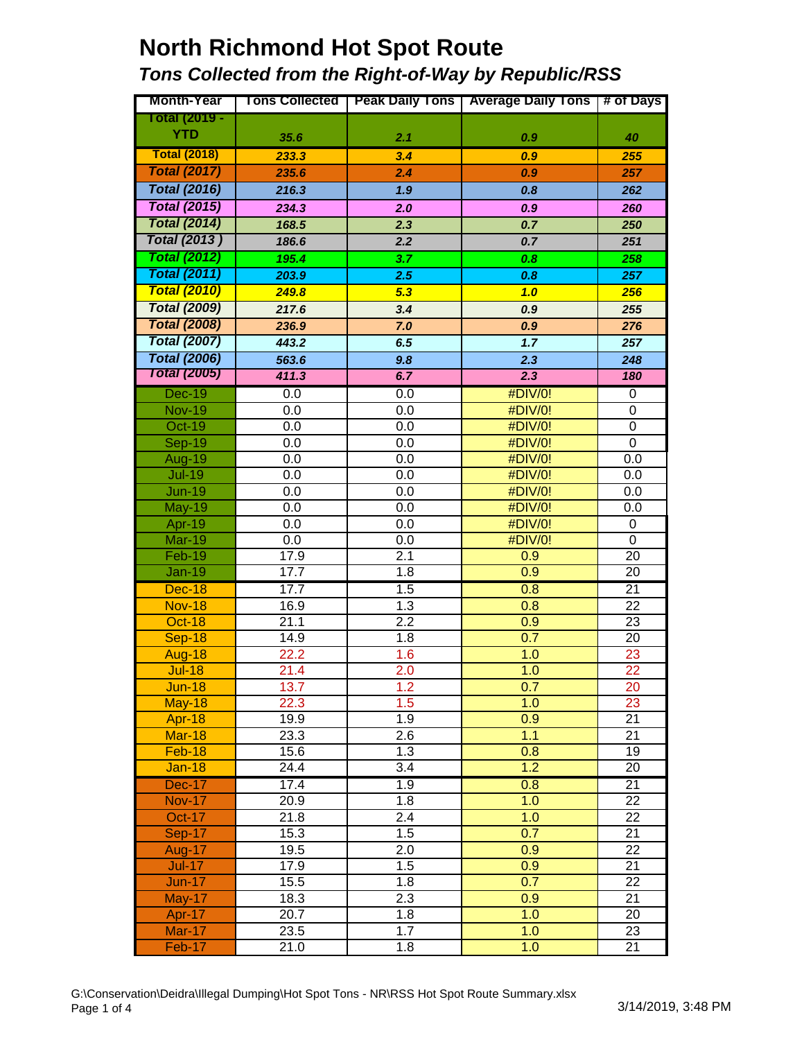# **North Richmond Hot Spot Route**

#### *Tons Collected from the Right-of-Way by Republic/RSS*

| <b>Month-Year</b>       |              |                         | Tons Collected   Peak Daily Tons   Average Daily Tons   # of Days |                 |
|-------------------------|--------------|-------------------------|-------------------------------------------------------------------|-----------------|
| Total (2019 -           |              |                         |                                                                   |                 |
| <b>YTD</b>              | 35.6         | 2.1                     | 0.9                                                               | 40              |
| <b>Total (2018)</b>     | 233.3        | 3.4                     | 0.9                                                               | 255             |
| <b>Total (2017)</b>     | 235.6        | 2.4                     | 0.9                                                               | 257             |
| <b>Total (2016)</b>     | 216.3        | 1.9                     | 0.8                                                               | 262             |
| <b>Total (2015)</b>     | 234.3        | 2.0                     | 0.9                                                               | 260             |
| <b>Total (2014)</b>     | 168.5        | 2.3                     | 0.7                                                               | 250             |
| <b>Total (2013)</b>     | 186.6        | 2.2                     | 0.7                                                               | 251             |
| <b>Total (2012)</b>     | 195.4        | 3.7                     | 0.8                                                               | 258             |
| <b>Total (2011)</b>     | 203.9        | 2.5                     | 0.8                                                               | 257             |
| <b>Total (2010)</b>     | 249.8        | 5.3                     | 1.0                                                               | 256             |
| <b>Total (2009)</b>     | 217.6        | 3.4                     | 0.9                                                               | 255             |
| <b>Total (2008)</b>     | 236.9        | 7.0                     | 0.9                                                               | 276             |
| <b>Total (2007)</b>     | 443.2        | 6.5                     | 1.7                                                               | 257             |
| <b>Total (2006)</b>     | 563.6        | 9.8                     | 2.3                                                               | 248             |
| <b>Total (2005)</b>     | 411.3        | 6.7                     | 2.3                                                               | 180             |
| <b>Dec-19</b>           | 0.0          | 0.0                     | #DIV/0!                                                           | $\pmb{0}$       |
| <b>Nov-19</b>           | 0.0          | 0.0                     | #DIV/0!                                                           | 0               |
| Oct-19                  | 0.0          | 0.0                     | #DIV/0!                                                           | 0               |
| <b>Sep-19</b>           | 0.0          | 0.0                     | #DIV/0!                                                           | 0               |
| Aug-19                  | 0.0          | 0.0                     | #DIV/0!                                                           | 0.0             |
| <b>Jul-19</b>           | 0.0          | 0.0                     | #DIV/0!                                                           | 0.0             |
| <b>Jun-19</b>           | 0.0          | 0.0                     | #DIV/0!                                                           | 0.0             |
| <b>May-19</b>           | 0.0          | 0.0                     | #DIV/0!                                                           | 0.0             |
| Apr-19                  | 0.0          | 0.0                     | #DIV/0!                                                           | 0               |
| <b>Mar-19</b>           | 0.0          | 0.0                     | #DIV/0!                                                           | 0               |
| Feb-19                  | 17.9         | 2.1                     | 0.9                                                               | 20              |
| <b>Jan-19</b>           | 17.7         | $\overline{1.8}$        | $\overline{0.9}$                                                  | 20              |
| <b>Dec-18</b>           | 17.7         | 1.5                     | 0.8                                                               | $\overline{21}$ |
| <b>Nov-18</b>           | 16.9         | 1.3                     | 0.8                                                               | 22              |
| Oct-18                  | 21.1         | $\overline{2.2}$        | 0.9                                                               | 23              |
| <b>Sep-18</b>           | 14.9         | 1.8                     | 0.7                                                               | 20              |
| <b>Aug-18</b>           | 22.2         | 1.6                     | 1.0                                                               | 23              |
| <b>Jul-18</b>           | 21.4         | 2.0                     | 1.0                                                               | 22              |
| <b>Jun-18</b>           | 13.7         | 1.2                     | 0.7                                                               | 20              |
| <b>May-18</b>           | 22.3         | 1.5                     | 1.0                                                               | 23              |
| <b>Apr-18</b>           | 19.9         | 1.9                     | 0.9                                                               | 21              |
| <b>Mar-18</b>           | 23.3         | 2.6                     | 1.1                                                               | 21              |
| Feb-18                  | 15.6         | 1.3<br>$\overline{3.4}$ | 0.8<br>1.2                                                        | 19              |
| $Jan-18$                | 24.4         |                         |                                                                   | 20              |
| <b>Dec-17</b>           | 17.4         | 1.9                     | 0.8                                                               | $\overline{21}$ |
| <b>Nov-17</b>           | 20.9         | 1.8                     | 1.0                                                               | $\overline{22}$ |
| Oct-17                  | 21.8<br>15.3 | $\overline{2.4}$<br>1.5 | 1.0<br>0.7                                                        | 22<br>21        |
| <b>Sep-17</b><br>Aug-17 | 19.5         | 2.0                     | 0.9                                                               | 22              |
| $Jul-17$                | 17.9         | 1.5                     | 0.9                                                               | 21              |
| $Jun-17$                | 15.5         | 1.8                     | 0.7                                                               | 22              |
| <b>May-17</b>           | 18.3         | 2.3                     | 0.9                                                               | 21              |
| Apr-17                  | 20.7         | 1.8                     | 1.0                                                               | 20              |
| <b>Mar-17</b>           | 23.5         | 1.7                     | 1.0                                                               | 23              |
| Feb-17                  | 21.0         | 1.8                     | 1.0                                                               | 21              |
|                         |              |                         |                                                                   |                 |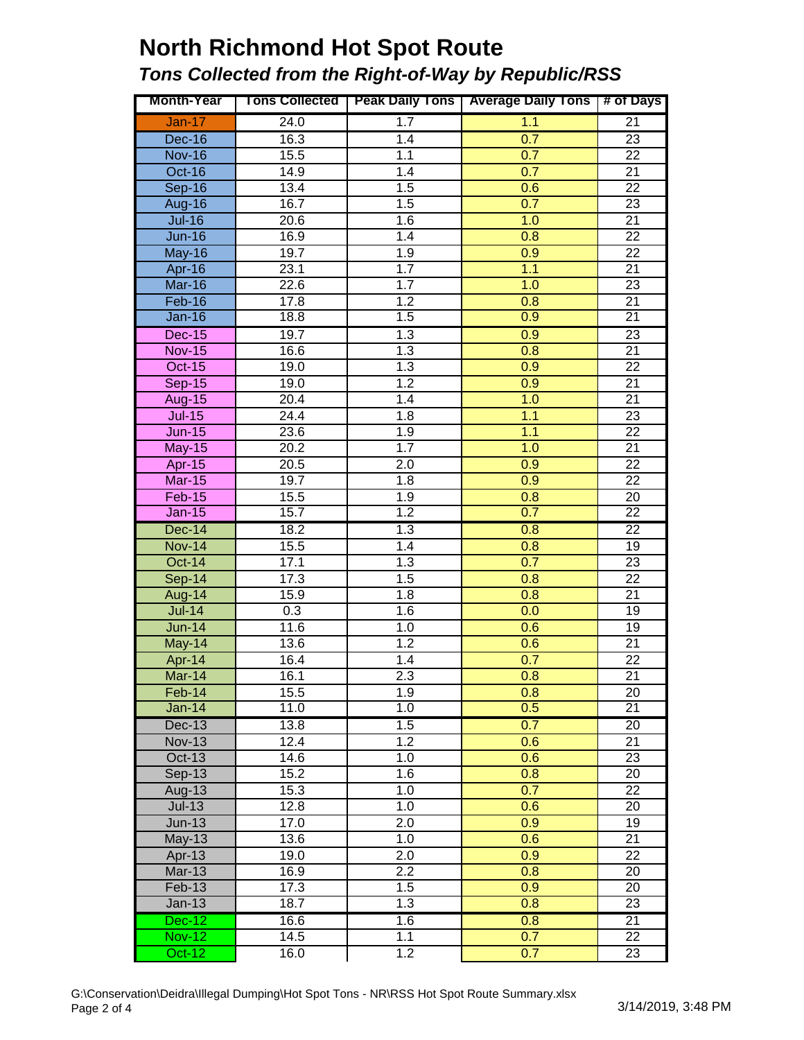# **North Richmond Hot Spot Route**

#### *Tons Collected from the Right-of-Way by Republic/RSS*

| <b>Month-Year</b> |                   |                  | Tons Collected   Peak Daily Tons   Average Daily Tons | # of Days       |
|-------------------|-------------------|------------------|-------------------------------------------------------|-----------------|
| $Jan-17$          | 24.0              | 1.7              | 1.1                                                   | $\overline{21}$ |
| $Dec-16$          | 16.3              | 1.4              | 0.7                                                   | 23              |
| <b>Nov-16</b>     | 15.5              | 1.1              | 0.7                                                   | 22              |
| <b>Oct-16</b>     | 14.9              | 1.4              | 0.7                                                   | 21              |
| $Sep-16$          | 13.4              | 1.5              | 0.6                                                   | 22              |
| Aug-16            | 16.7              | 1.5              | 0.7                                                   | $\overline{23}$ |
| $Jul-16$          | 20.6              | 1.6              | 1.0                                                   | $\overline{21}$ |
| $Jun-16$          | 16.9              | 1.4              | 0.8                                                   | $\overline{22}$ |
| <b>May-16</b>     | $\overline{19.7}$ | 1.9              | 0.9                                                   | 22              |
| Apr-16            | 23.1              | 1.7              | 1.1                                                   | 21              |
| Mar-16            | 22.6              | 1.7              | 1.0                                                   | $\overline{23}$ |
| Feb-16            | 17.8              | 1.2              | 0.8                                                   | 21              |
| <b>Jan-16</b>     | 18.8              | 1.5              | 0.9                                                   | $\overline{21}$ |
| <b>Dec-15</b>     | 19.7              | 1.3              | 0.9                                                   | 23              |
| <b>Nov-15</b>     | 16.6              | 1.3              | 0.8                                                   | $\overline{21}$ |
| <b>Oct-15</b>     | 19.0              | 1.3              | 0.9                                                   | $\overline{22}$ |
| $Sep-15$          | 19.0              | $\overline{1.2}$ | 0.9                                                   | $\overline{21}$ |
| <b>Aug-15</b>     | 20.4              | 1.4              | 1.0                                                   | $\overline{21}$ |
| $Jul-15$          | 24.4              | 1.8              | 1.1                                                   | $\overline{23}$ |
| $Jun-15$          | 23.6              | 1.9              | 1.1                                                   | $\overline{22}$ |
| <b>May-15</b>     | 20.2              | $\overline{1.7}$ | 1.0                                                   | $\overline{21}$ |
| Apr-15            | 20.5              | $\overline{2.0}$ | 0.9                                                   | $\overline{22}$ |
| <b>Mar-15</b>     | 19.7              | 1.8              | 0.9                                                   | $\overline{22}$ |
| $Feb-15$          | 15.5              | 1.9              | 0.8                                                   | $\overline{20}$ |
| <b>Jan-15</b>     | 15.7              | 1.2              | 0.7                                                   | $\overline{22}$ |
| <b>Dec-14</b>     | 18.2              | 1.3              | 0.8                                                   | $\overline{22}$ |
| <b>Nov-14</b>     | 15.5              | 1.4              | 0.8                                                   | 19              |
| <b>Oct-14</b>     | 17.1              | 1.3              | 0.7                                                   | $\overline{23}$ |
| $Sep-14$          | 17.3              | 1.5              | 0.8                                                   | $\overline{22}$ |
| <b>Aug-14</b>     | 15.9              | 1.8              | 0.8                                                   | $\overline{21}$ |
| $Jul-14$          | 0.3               | 1.6              | 0.0                                                   | $\overline{19}$ |
| $Jun-14$          | 11.6              | 1.0              | 0.6                                                   | $\overline{19}$ |
| May-14            | 13.6              | 1.2              | 0.6                                                   | $\overline{21}$ |
| Apr-14            | 16.4              | 1.4              | 0.7                                                   | $\overline{22}$ |
| <b>Mar-14</b>     | 16.1              | 2.3              | 0.8                                                   | $\overline{21}$ |
| Feb-14            | 15.5              | 1.9              | 0.8                                                   | 20              |
| $Jan-14$          | 11.0              | $\overline{1.0}$ | 0.5                                                   | $\overline{21}$ |
| <b>Dec-13</b>     | 13.8              | 1.5              | 0.7                                                   | $\overline{20}$ |
| <b>Nov-13</b>     | 12.4              | $\overline{1.2}$ | 0.6                                                   | 21              |
| $Oct-13$          | 14.6              | 1.0              | 0.6                                                   | 23              |
| <b>Sep-13</b>     | 15.2              | 1.6              | 0.8                                                   | 20              |
| Aug-13            | 15.3              | 1.0              | 0.7                                                   | 22              |
| $Jul-13$          | 12.8              | 1.0              | 0.6                                                   | 20              |
| $Jun-13$          | 17.0              | 2.0              | 0.9                                                   | 19              |
| <b>May-13</b>     | 13.6              | 1.0              | 0.6                                                   | 21              |
| Apr-13            | 19.0              | 2.0              | 0.9                                                   | 22              |
| $Mar-13$          | 16.9              | 2.2              | 0.8                                                   | 20              |
| Feb-13            | 17.3              | 1.5              | 0.9                                                   | 20              |
| $Jan-13$          | 18.7              | $\overline{1.3}$ | 0.8                                                   | $\overline{23}$ |
| <b>Dec-12</b>     | 16.6              | 1.6              | 0.8                                                   | $\overline{21}$ |
| <b>Nov-12</b>     | 14.5              | 1.1              | 0.7                                                   | $\overline{22}$ |
| $Oct-12$          | 16.0              | 1.2              | 0.7                                                   | 23              |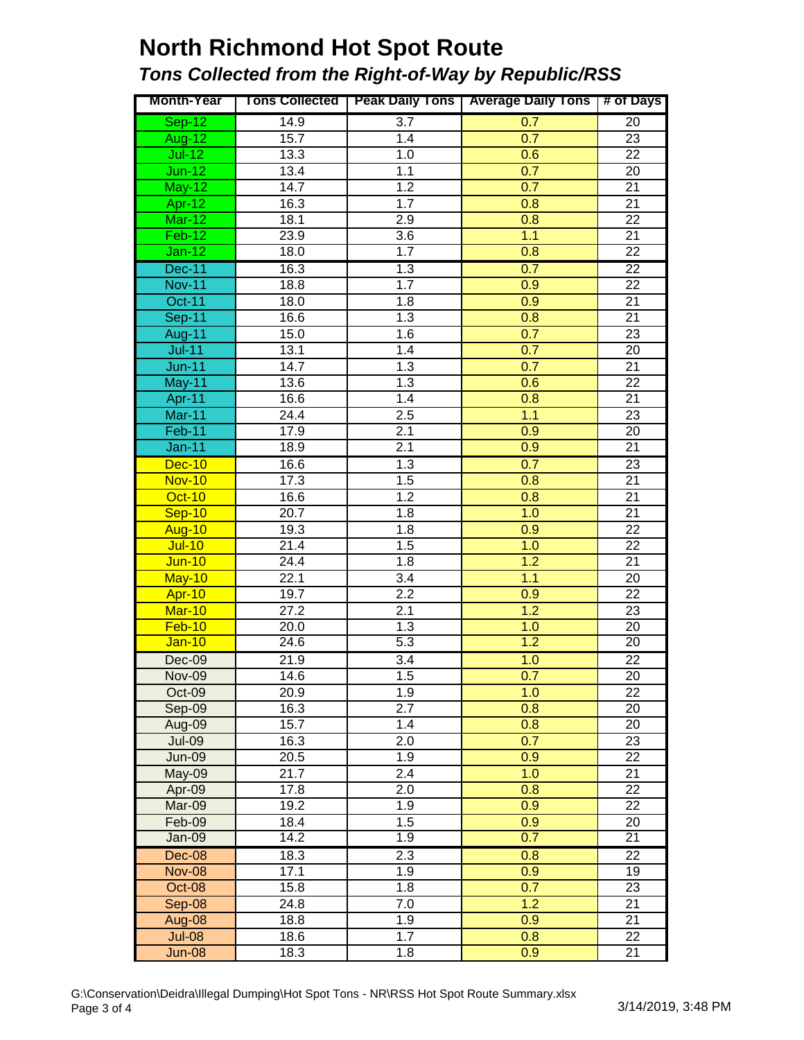## **North Richmond Hot Spot Route** *Tons Collected from the Right-of-Way by Republic/RSS*

| <b>Month-Year</b> |                   |                   | Tons Collected   Peak Daily Tons   Average Daily Tons | # of Days       |
|-------------------|-------------------|-------------------|-------------------------------------------------------|-----------------|
| $Sep-12$          | 14.9              | 3.7               | 0.7                                                   | 20              |
| <b>Aug-12</b>     | 15.7              | 1.4               | 0.7                                                   | 23              |
| $Jul-12$          | 13.3              | $\overline{1}$ .0 | 0.6                                                   | 22              |
| $Jun-12$          | 13.4              | 1.1               | 0.7                                                   | $\overline{20}$ |
| $May-12$          | 14.7              | $\overline{1.2}$  | 0.7                                                   | $\overline{21}$ |
| Apr-12            | 16.3              | 1.7               | 0.8                                                   | $\overline{21}$ |
| $Mar-12$          | 18.1              | 2.9               | 0.8                                                   | $\overline{22}$ |
| $Feb-12$          | 23.9              | $\overline{3.6}$  | 1.1                                                   | $\overline{21}$ |
| $Jan-12$          | 18.0              | 1.7               | 0.8                                                   | $\overline{22}$ |
| <b>Dec-11</b>     | 16.3              | 1.3               | 0.7                                                   | $\overline{22}$ |
| <b>Nov-11</b>     | 18.8              | 1.7               | 0.9                                                   | $\overline{22}$ |
| <b>Oct-11</b>     | 18.0              | 1.8               | 0.9                                                   | $\overline{21}$ |
| Sep-11            | 16.6              | 1.3               | 0.8                                                   | $\overline{21}$ |
| <b>Aug-11</b>     | 15.0              | 1.6               | 0.7                                                   | $\overline{23}$ |
| $Jul-11$          | 13.1              | 1.4               | 0.7                                                   | $\overline{20}$ |
| $Jun-11$          | 14.7              | 1.3               | 0.7                                                   | $\overline{21}$ |
| May-11            | 13.6              | 1.3               | 0.6                                                   | $\overline{22}$ |
| Apr-11            | 16.6              | 1.4               | 0.8                                                   | $\overline{21}$ |
| Mar-11            | 24.4              | 2.5               | 1.1                                                   | $\overline{23}$ |
| Feb-11            | 17.9              | $\overline{2.1}$  | 0.9                                                   | $\overline{20}$ |
| <b>Jan-11</b>     | 18.9              | 2.1               | 0.9                                                   | $\overline{21}$ |
| <b>Dec-10</b>     | 16.6              | 1.3               | 0.7                                                   | 23              |
| <b>Nov-10</b>     | 17.3              | 1.5               | 0.8                                                   | $\overline{21}$ |
| <b>Oct-10</b>     | 16.6              | 1.2               | 0.8                                                   | $\overline{21}$ |
| Sep-10            | $\overline{20.7}$ | 1.8               | 1.0                                                   | $\overline{21}$ |
| Aug-10            | 19.3              | 1.8               | $\overline{0.9}$                                      | $\overline{22}$ |
| $Jul-10$          | 21.4              | 1.5               | 1.0                                                   | $\overline{22}$ |
| <b>Jun-10</b>     | 24.4              | 1.8               | 1.2                                                   | $\overline{21}$ |
| May-10            | 22.1              | $\overline{3.4}$  | 1.1                                                   | $\overline{20}$ |
| <b>Apr-10</b>     | 19.7              | 2.2               | 0.9                                                   | $\overline{22}$ |
| <b>Mar-10</b>     | 27.2              | $\overline{2.1}$  | 1.2                                                   | $\overline{23}$ |
| $Feb-10$          | 20.0              | 1.3               | 1.0                                                   | 20              |
| <b>Jan-10</b>     | 24.6              | 5.3               | 1.2                                                   | $\overline{20}$ |
| Dec-09            | 21.9              | $\overline{3.4}$  | 1.0                                                   | $\overline{22}$ |
| <b>Nov-09</b>     | 14.6              | 1.5               | 0.7                                                   | 20              |
| Oct-09            | 20.9              | 1.9               | 1.0                                                   | 22              |
| Sep-09            | 16.3              | 2.7               | 0.8                                                   | 20              |
| Aug-09            | 15.7              | 1.4               | 0.8                                                   | 20              |
| <b>Jul-09</b>     | 16.3              | 2.0               | 0.7                                                   | 23              |
| <b>Jun-09</b>     | 20.5              | 1.9               | 0.9                                                   | 22              |
| May-09            | 21.7              | $\overline{2.4}$  | 1.0                                                   | 21              |
| Apr-09            | 17.8              | 2.0               | 0.8                                                   | 22              |
| Mar-09            | 19.2              | 1.9               | 0.9                                                   | 22              |
| Feb-09            | 18.4              | 1.5               | 0.9                                                   | 20              |
| Jan-09            | 14.2              | 1.9               | 0.7                                                   | $\overline{21}$ |
| Dec-08            | 18.3              | 2.3               | 0.8                                                   | $\overline{22}$ |
| <b>Nov-08</b>     | 17.1              | 1.9               | 0.9                                                   | 19              |
| Oct-08            | 15.8              | 1.8               | 0.7                                                   | 23              |
| Sep-08            | 24.8              | 7.0               | 1.2                                                   | 21              |
| Aug-08            | 18.8              | 1.9               | 0.9                                                   | 21              |
| <b>Jul-08</b>     | 18.6              | 1.7               | 0.8                                                   | 22              |
| <b>Jun-08</b>     | 18.3              | 1.8               | 0.9                                                   | 21              |